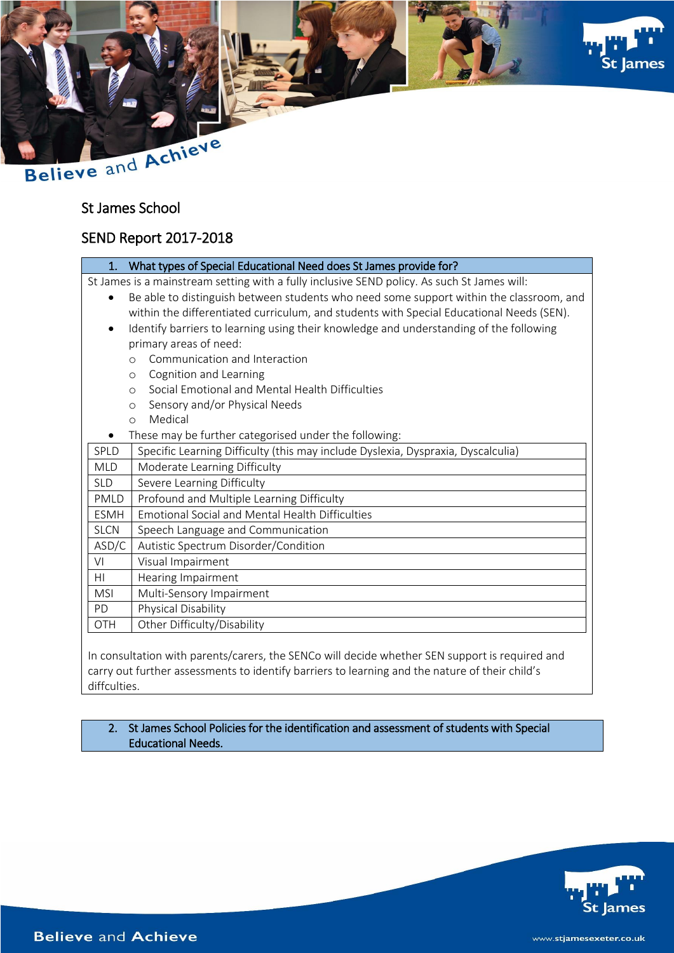



# St James School

## SEND Report 2017-2018

|  | What types of Special Educational Need does St James provide for? |
|--|-------------------------------------------------------------------|
|--|-------------------------------------------------------------------|

St James is a mainstream setting with a fully inclusive SEND policy. As such St James will:

- Be able to distinguish between students who need some support within the classroom, and within the differentiated curriculum, and students with Special Educational Needs (SEN).
- Identify barriers to learning using their knowledge and understanding of the following primary areas of need:
	- o Communication and Interaction
	- o Cognition and Learning
	- o Social Emotional and Mental Health Difficulties
	- o Sensory and/or Physical Needs
	- o Medical
	- These may be further categorised under the following:
- $\sqrt{\text{SPLD}}$  Specific Learning Difficulty (this may include Dyslexia, Dyspraxia, Dyscalculia)

| <b>MLD</b>  | Moderate Learning Difficulty                           |
|-------------|--------------------------------------------------------|
| <b>SLD</b>  | Severe Learning Difficulty                             |
| PMLD        | Profound and Multiple Learning Difficulty              |
| <b>ESMH</b> | <b>Emotional Social and Mental Health Difficulties</b> |
| <b>SLCN</b> | Speech Language and Communication                      |
| ASD/C       | Autistic Spectrum Disorder/Condition                   |
| VI          | Visual Impairment                                      |
| HI          | Hearing Impairment                                     |
| <b>MSI</b>  | Multi-Sensory Impairment                               |
| <b>PD</b>   | Physical Disability                                    |
| OTH         | Other Difficulty/Disability                            |
|             |                                                        |

In consultation with parents/carers, the SENCo will decide whether SEN support is required and carry out further assessments to identify barriers to learning and the nature of their child's diffculties.

### 2. St James School Policies for the identification and assessment of students with Special Educational Needs.

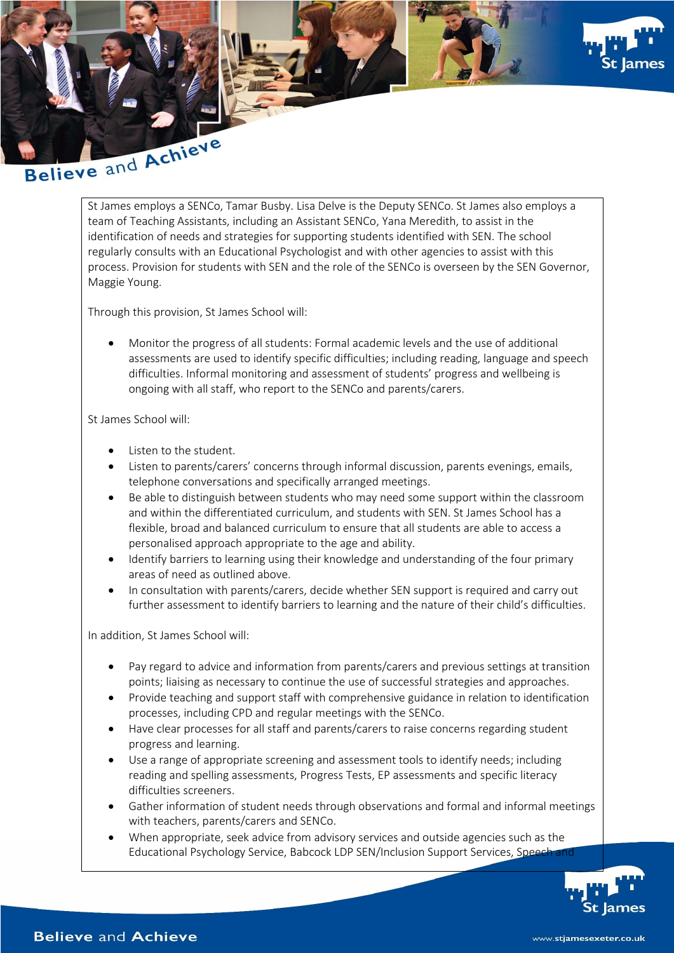

St James employs a SENCo, Tamar Busby. Lisa Delve is the Deputy SENCo. St James also employs a team of Teaching Assistants, including an Assistant SENCo, Yana Meredith, to assist in the identification of needs and strategies for supporting students identified with SEN. The school regularly consults with an Educational Psychologist and with other agencies to assist with this process. Provision for students with SEN and the role of the SENCo is overseen by the SEN Governor, Maggie Young.

Through this provision, St James School will:

 Monitor the progress of all students: Formal academic levels and the use of additional assessments are used to identify specific difficulties; including reading, language and speech difficulties. Informal monitoring and assessment of students' progress and wellbeing is ongoing with all staff, who report to the SENCo and parents/carers.

St James School will:

- Listen to the student.
- Listen to parents/carers' concerns through informal discussion, parents evenings, emails, telephone conversations and specifically arranged meetings.
- Be able to distinguish between students who may need some support within the classroom and within the differentiated curriculum, and students with SEN. St James School has a flexible, broad and balanced curriculum to ensure that all students are able to access a personalised approach appropriate to the age and ability.
- Identify barriers to learning using their knowledge and understanding of the four primary areas of need as outlined above.
- In consultation with parents/carers, decide whether SEN support is required and carry out further assessment to identify barriers to learning and the nature of their child's difficulties.

In addition, St James School will:

- Pay regard to advice and information from parents/carers and previous settings at transition points; liaising as necessary to continue the use of successful strategies and approaches.
- Provide teaching and support staff with comprehensive guidance in relation to identification processes, including CPD and regular meetings with the SENCo.
- Have clear processes for all staff and parents/carers to raise concerns regarding student progress and learning.
- Use a range of appropriate screening and assessment tools to identify needs; including reading and spelling assessments, Progress Tests, EP assessments and specific literacy difficulties screeners.
- Gather information of student needs through observations and formal and informal meetings with teachers, parents/carers and SENCo.
- When appropriate, seek advice from advisory services and outside agencies such as the Educational Psychology Service, Babcock LDP SEN/Inclusion Support Services, Speech and

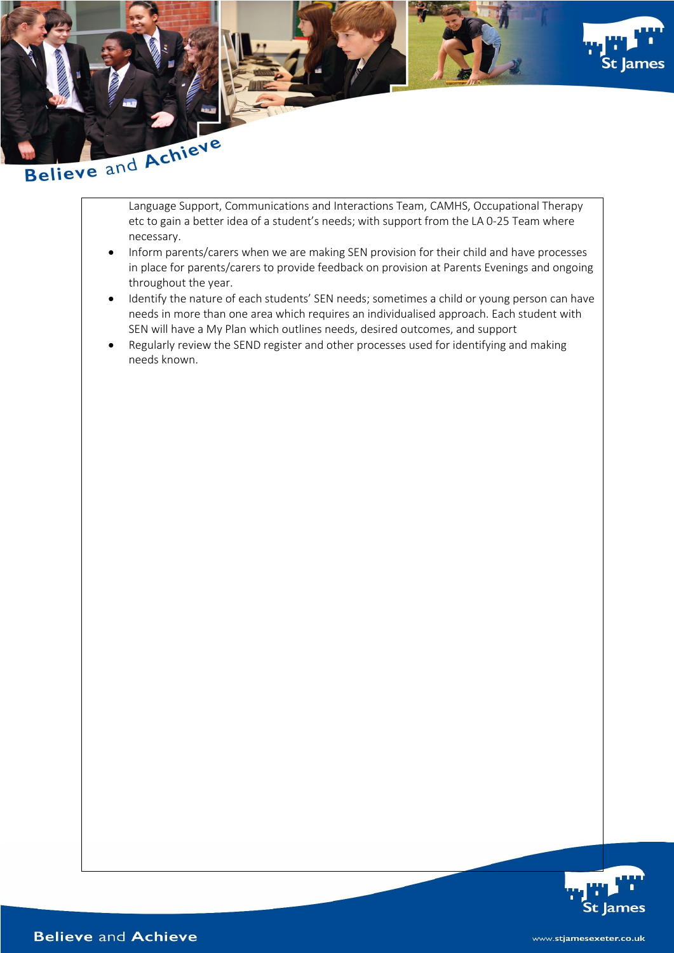

Language Support, Communications and Interactions Team, CAMHS, Occupational Therapy etc to gain a better idea of a student's needs; with support from the LA 0-25 Team where necessary.

- Inform parents/carers when we are making SEN provision for their child and have processes in place for parents/carers to provide feedback on provision at Parents Evenings and ongoing throughout the year.
- Identify the nature of each students' SEN needs; sometimes a child or young person can have needs in more than one area which requires an individualised approach. Each student with SEN will have a My Plan which outlines needs, desired outcomes, and support
- Regularly review the SEND register and other processes used for identifying and making needs known.

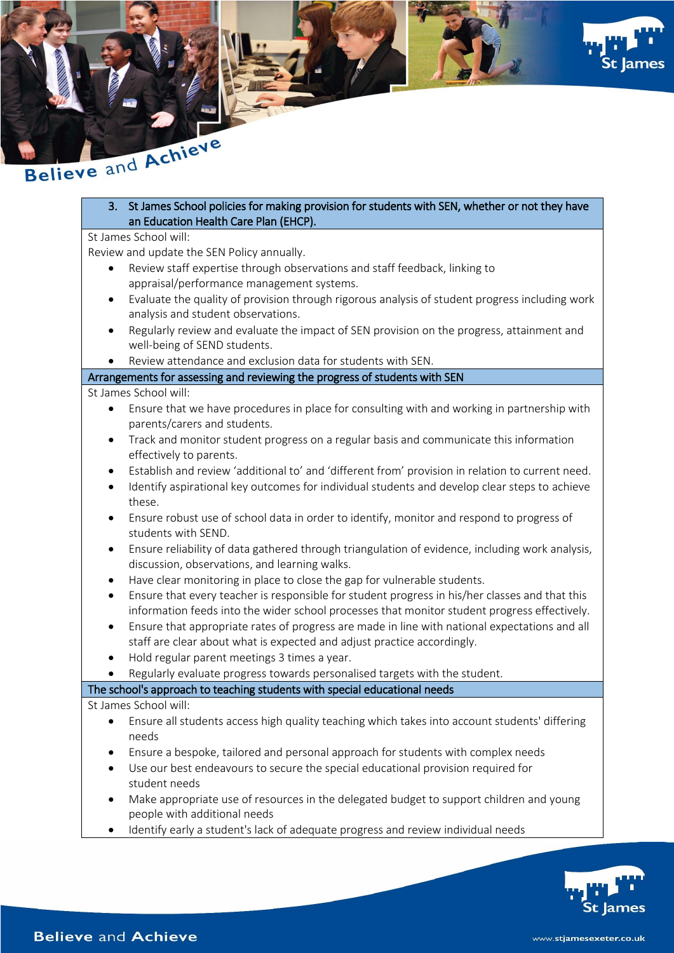



3. St James School policies for making provision for students with SEN, whether or not they have an Education Health Care Plan (EHCP).

## St James School will:

Review and update the SEN Policy annually.

- Review staff expertise through observations and staff feedback, linking to appraisal/performance management systems.
- Evaluate the quality of provision through rigorous analysis of student progress including work analysis and student observations.
- Regularly review and evaluate the impact of SEN provision on the progress, attainment and well-being of SEND students.
- Review attendance and exclusion data for students with SEN.

### Arrangements for assessing and reviewing the progress of students with SEN

### St James School will:

- Ensure that we have procedures in place for consulting with and working in partnership with parents/carers and students.
- Track and monitor student progress on a regular basis and communicate this information effectively to parents.
- Establish and review 'additional to' and 'different from' provision in relation to current need.
- Identify aspirational key outcomes for individual students and develop clear steps to achieve these.
- Ensure robust use of school data in order to identify, monitor and respond to progress of students with SEND.
- Ensure reliability of data gathered through triangulation of evidence, including work analysis, discussion, observations, and learning walks.
- Have clear monitoring in place to close the gap for vulnerable students.
- Ensure that every teacher is responsible for student progress in his/her classes and that this information feeds into the wider school processes that monitor student progress effectively.
- Ensure that appropriate rates of progress are made in line with national expectations and all staff are clear about what is expected and adjust practice accordingly.
- Hold regular parent meetings 3 times a year.
- Regularly evaluate progress towards personalised targets with the student.

## The school's approach to teaching students with special educational needs

- Ensure all students access high quality teaching which takes into account students' differing needs
- Ensure a bespoke, tailored and personal approach for students with complex needs
- Use our best endeavours to secure the special educational provision required for student needs
- Make appropriate use of resources in the delegated budget to support children and young people with additional needs
- Identify early a student's lack of adequate progress and review individual needs

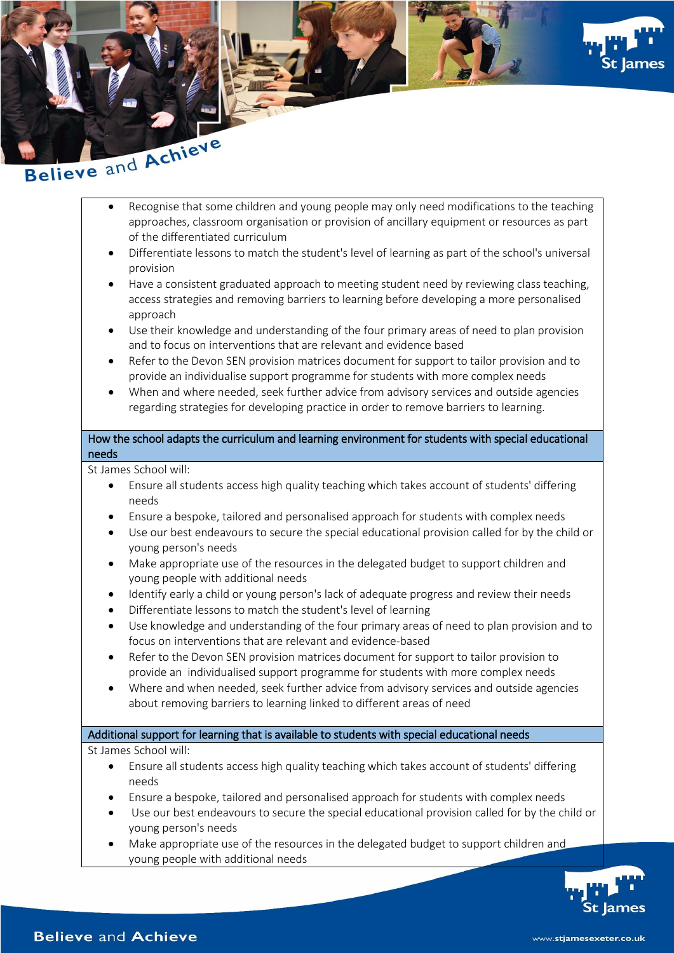

- approaches, classroom organisation or provision of ancillary equipment or resources as part of the differentiated curriculum
- Differentiate lessons to match the student's level of learning as part of the school's universal provision
- Have a consistent graduated approach to meeting student need by reviewing class teaching, access strategies and removing barriers to learning before developing a more personalised approach
- Use their knowledge and understanding of the four primary areas of need to plan provision and to focus on interventions that are relevant and evidence based
- Refer to the Devon SEN provision matrices document for support to tailor provision and to provide an individualise support programme for students with more complex needs
- When and where needed, seek further advice from advisory services and outside agencies regarding strategies for developing practice in order to remove barriers to learning.

### How the school adapts the curriculum and learning environment for students with special educational needs

St James School will:

- Ensure all students access high quality teaching which takes account of students' differing needs
- Ensure a bespoke, tailored and personalised approach for students with complex needs
- Use our best endeavours to secure the special educational provision called for by the child or young person's needs
- Make appropriate use of the resources in the delegated budget to support children and young people with additional needs
- Identify early a child or young person's lack of adequate progress and review their needs
- Differentiate lessons to match the student's level of learning
- Use knowledge and understanding of the four primary areas of need to plan provision and to focus on interventions that are relevant and evidence-based
- Refer to the Devon SEN provision matrices document for support to tailor provision to provide an individualised support programme for students with more complex needs
- Where and when needed, seek further advice from advisory services and outside agencies about removing barriers to learning linked to different areas of need

## Additional support for learning that is available to students with special educational needs

- Ensure all students access high quality teaching which takes account of students' differing needs
- Ensure a bespoke, tailored and personalised approach for students with complex needs
- Use our best endeavours to secure the special educational provision called for by the child or young person's needs
- Make appropriate use of the resources in the delegated budget to support children and young people with additional needs

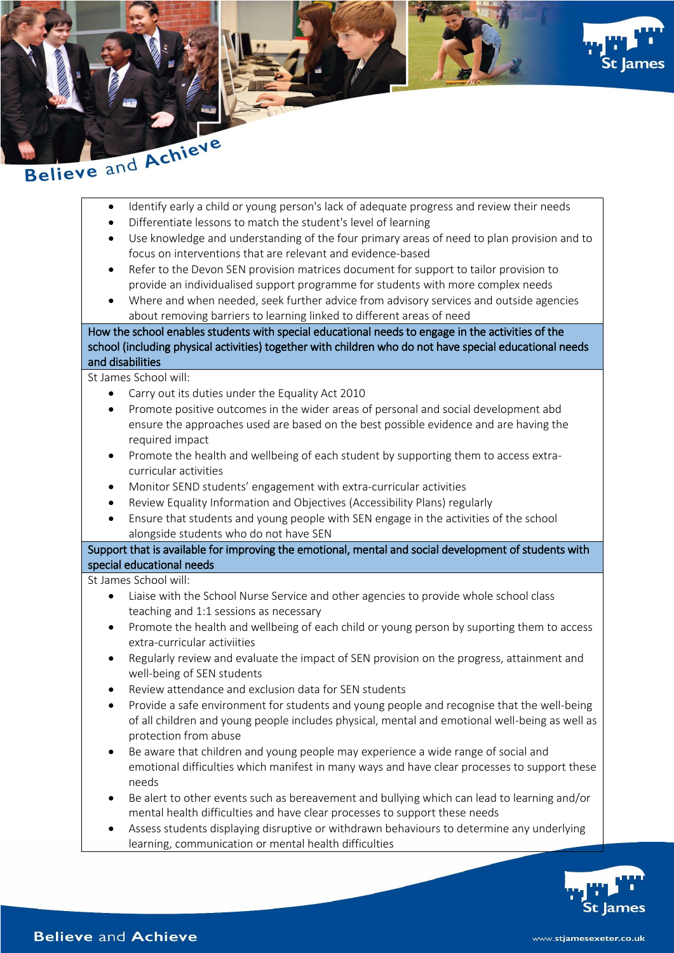





- Identify early a child or young person's lack of adequate progress and review their needs
- Differentiate lessons to match the student's level of learning
- Use knowledge and understanding of the four primary areas of need to plan provision and to focus on interventions that are relevant and evidence-based
- Refer to the Devon SEN provision matrices document for support to tailor provision to provide an individualised support programme for students with more complex needs
- Where and when needed, seek further advice from advisory services and outside agencies about removing barriers to learning linked to different areas of need

How the school enables students with special educational needs to engage in the activities of the school (including physical activities) together with children who do not have special educational needs and disabilities

St James School will:

- Carry out its duties under the Equality Act 2010
- Promote positive outcomes in the wider areas of personal and social development abd ensure the approaches used are based on the best possible evidence and are having the required impact
- Promote the health and wellbeing of each student by supporting them to access extracurricular activities
- Monitor SEND students' engagement with extra-curricular activities
- Review Equality Information and Objectives (Accessibility Plans) regularly
- Ensure that students and young people with SEN engage in the activities of the school alongside students who do not have SEN

Support that is available for improving the emotional, mental and social development of students with special educational needs

- Liaise with the School Nurse Service and other agencies to provide whole school class teaching and 1:1 sessions as necessary
- Promote the health and wellbeing of each child or young person by suporting them to access extra-curricular activiities
- Regularly review and evaluate the impact of SEN provision on the progress, attainment and well-being of SEN students
- Review attendance and exclusion data for SEN students
- Provide a safe environment for students and young people and recognise that the well-being of all children and young people includes physical, mental and emotional well-being as well as protection from abuse
- Be aware that children and young people may experience a wide range of social and emotional difficulties which manifest in many ways and have clear processes to support these needs
- Be alert to other events such as bereavement and bullying which can lead to learning and/or mental health difficulties and have clear processes to support these needs
- Assess students displaying disruptive or withdrawn behaviours to determine any underlying learning, communication or mental health difficulties

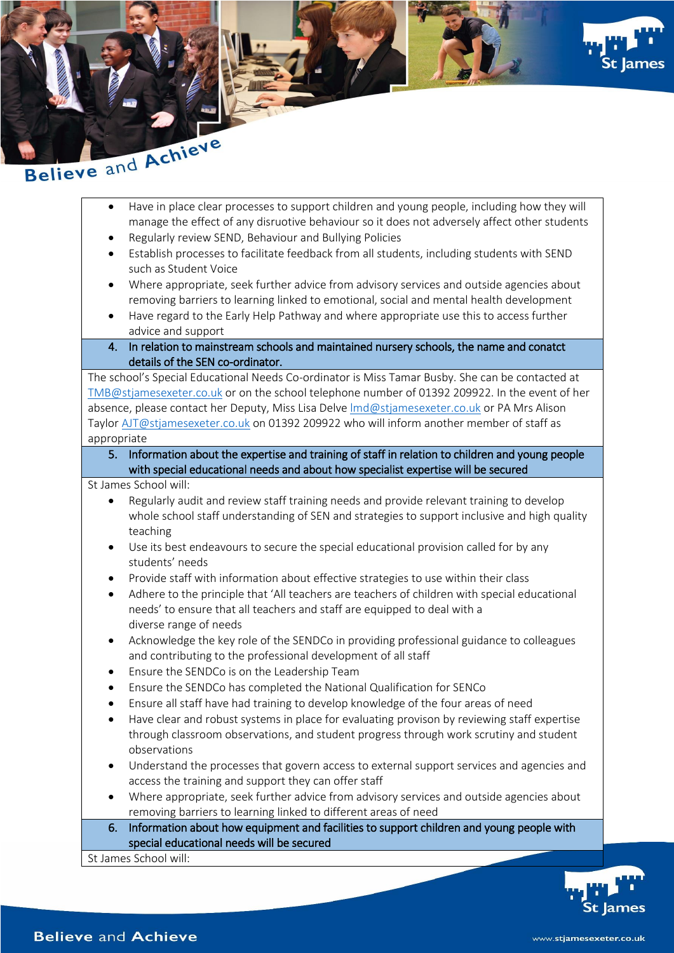



- Have in place clear processes to support children and young people, including how they will manage the effect of any disruotive behaviour so it does not adversely affect other students
- Regularly review SEND, Behaviour and Bullying Policies
- Establish processes to facilitate feedback from all students, including students with SEND such as Student Voice
- Where appropriate, seek further advice from advisory services and outside agencies about removing barriers to learning linked to emotional, social and mental health development
- Have regard to the Early Help Pathway and where appropriate use this to access further advice and support
- 4. In relation to mainstream schools and maintained nursery schools, the name and conatct details of the SEN co-ordinator.

The school's Special Educational Needs Co-ordinator is Miss Tamar Busby. She can be contacted at [TMB@stjamesexeter.co.uk](mailto:TMB@stjamesexeter.co.uk) or on the school telephone number of 01392 209922. In the event of her absence, please contact her Deputy, Miss Lisa Delve [lmd@stjamesexeter.co.uk](mailto:lmd@stjamesexeter.co.uk) or PA Mrs Alison Taylor [AJT@stjamesexeter.co.uk](mailto:AJT@stjamesexeter.co.uk) on 01392 209922 who will inform another member of staff as appropriate

5. Information about the expertise and training of staff in relation to children and young people with special educational needs and about how specialist expertise will be secured

St James School will:

- Regularly audit and review staff training needs and provide relevant training to develop whole school staff understanding of SEN and strategies to support inclusive and high quality teaching
- Use its best endeavours to secure the special educational provision called for by any students' needs
- Provide staff with information about effective strategies to use within their class
- Adhere to the principle that 'All teachers are teachers of children with special educational needs' to ensure that all teachers and staff are equipped to deal with a diverse range of needs
- Acknowledge the key role of the SENDCo in providing professional guidance to colleagues and contributing to the professional development of all staff
- Ensure the SENDCo is on the Leadership Team
- Ensure the SENDCo has completed the National Qualification for SENCo
- Ensure all staff have had training to develop knowledge of the four areas of need
- Have clear and robust systems in place for evaluating provison by reviewing staff expertise through classroom observations, and student progress through work scrutiny and student observations
- Understand the processes that govern access to external support services and agencies and access the training and support they can offer staff
- Where appropriate, seek further advice from advisory services and outside agencies about removing barriers to learning linked to different areas of need
- 6. Information about how equipment and facilities to support children and young people with special educational needs will be secured

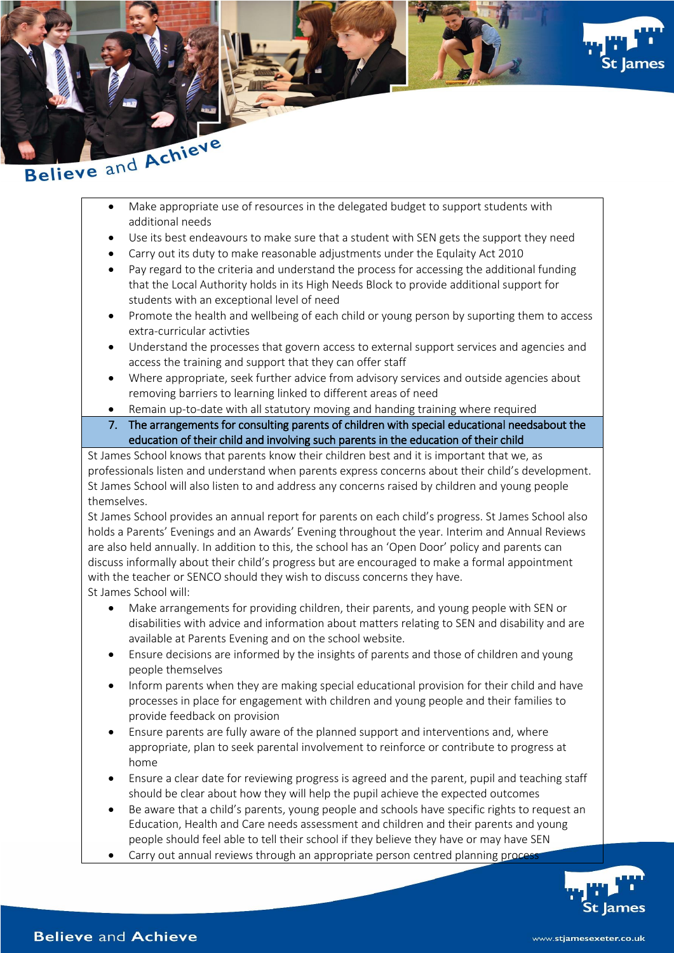



- Make appropriate use of resources in the delegated budget to support students with additional needs
- Use its best endeavours to make sure that a student with SEN gets the support they need
- Carry out its duty to make reasonable adjustments under the Equlaity Act 2010
- Pay regard to the criteria and understand the process for accessing the additional funding that the Local Authority holds in its High Needs Block to provide additional support for students with an exceptional level of need
- Promote the health and wellbeing of each child or young person by suporting them to access extra-curricular activties
- Understand the processes that govern access to external support services and agencies and access the training and support that they can offer staff
- Where appropriate, seek further advice from advisory services and outside agencies about removing barriers to learning linked to different areas of need
- Remain up-to-date with all statutory moving and handing training where required
- 7. The arrangements for consulting parents of children with special educational needsabout the education of their child and involving such parents in the education of their child

St James School knows that parents know their children best and it is important that we, as professionals listen and understand when parents express concerns about their child's development. St James School will also listen to and address any concerns raised by children and young people themselves.

St James School provides an annual report for parents on each child's progress. St James School also holds a Parents' Evenings and an Awards' Evening throughout the year. Interim and Annual Reviews are also held annually. In addition to this, the school has an 'Open Door' policy and parents can discuss informally about their child's progress but are encouraged to make a formal appointment with the teacher or SENCO should they wish to discuss concerns they have. St James School will:

- Make arrangements for providing children, their parents, and young people with SEN or disabilities with advice and information about matters relating to SEN and disability and are available at Parents Evening and on the school website.
- Ensure decisions are informed by the insights of parents and those of children and young people themselves
- Inform parents when they are making special educational provision for their child and have processes in place for engagement with children and young people and their families to provide feedback on provision
- Ensure parents are fully aware of the planned support and interventions and, where appropriate, plan to seek parental involvement to reinforce or contribute to progress at home
- Ensure a clear date for reviewing progress is agreed and the parent, pupil and teaching staff should be clear about how they will help the pupil achieve the expected outcomes
- Be aware that a child's parents, young people and schools have specific rights to request an Education, Health and Care needs assessment and children and their parents and young people should feel able to tell their school if they believe they have or may have SEN
- Carry out annual reviews through an appropriate person centred planning proce

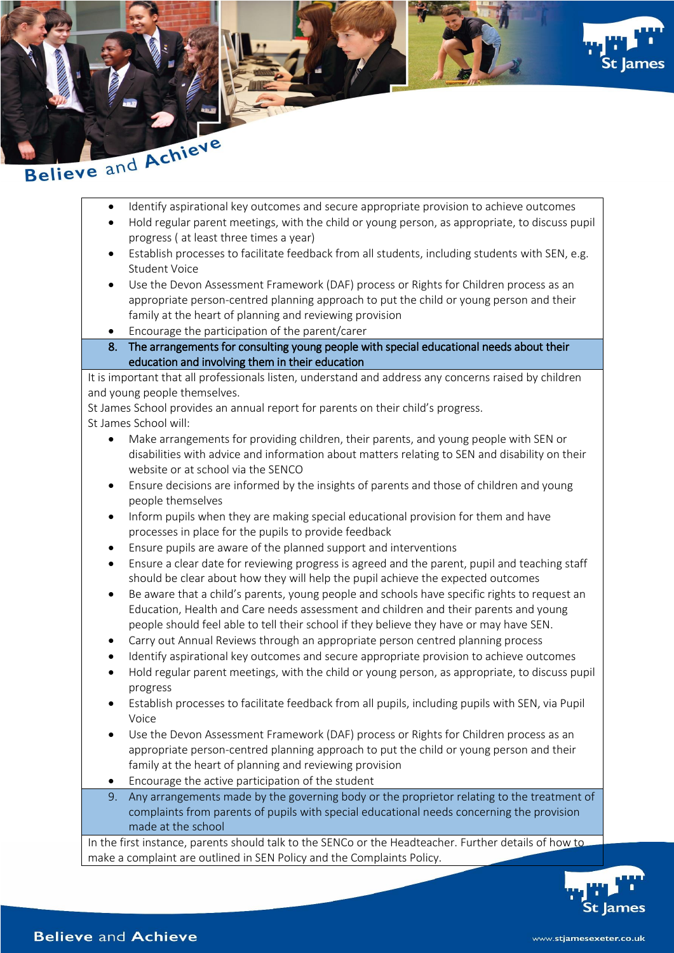





- Identify aspirational key outcomes and secure appropriate provision to achieve outcomes
- Hold regular parent meetings, with the child or young person, as appropriate, to discuss pupil progress ( at least three times a year)
- Establish processes to facilitate feedback from all students, including students with SEN, e.g. Student Voice
- Use the Devon Assessment Framework (DAF) process or Rights for Children process as an appropriate person-centred planning approach to put the child or young person and their family at the heart of planning and reviewing provision
- Encourage the participation of the parent/carer
- 8. The arrangements for consulting young people with special educational needs about their education and involving them in their education

It is important that all professionals listen, understand and address any concerns raised by children and young people themselves.

St James School provides an annual report for parents on their child's progress.

St James School will:

- Make arrangements for providing children, their parents, and young people with SEN or disabilities with advice and information about matters relating to SEN and disability on their website or at school via the SENCO
- Ensure decisions are informed by the insights of parents and those of children and young people themselves
- Inform pupils when they are making special educational provision for them and have processes in place for the pupils to provide feedback
- Ensure pupils are aware of the planned support and interventions
- Ensure a clear date for reviewing progress is agreed and the parent, pupil and teaching staff should be clear about how they will help the pupil achieve the expected outcomes
- Be aware that a child's parents, young people and schools have specific rights to request an Education, Health and Care needs assessment and children and their parents and young people should feel able to tell their school if they believe they have or may have SEN.
- Carry out Annual Reviews through an appropriate person centred planning process
- Identify aspirational key outcomes and secure appropriate provision to achieve outcomes
- Hold regular parent meetings, with the child or young person, as appropriate, to discuss pupil progress
- Establish processes to facilitate feedback from all pupils, including pupils with SEN, via Pupil Voice
- Use the Devon Assessment Framework (DAF) process or Rights for Children process as an appropriate person-centred planning approach to put the child or young person and their family at the heart of planning and reviewing provision
- Encourage the active participation of the student
- 9. Any arrangements made by the governing body or the proprietor relating to the treatment of complaints from parents of pupils with special educational needs concerning the provision made at the school

In the first instance, parents should talk to the SENCo or the Headteacher. Further details of how to make a complaint are outlined in SEN Policy and the Complaints Policy.